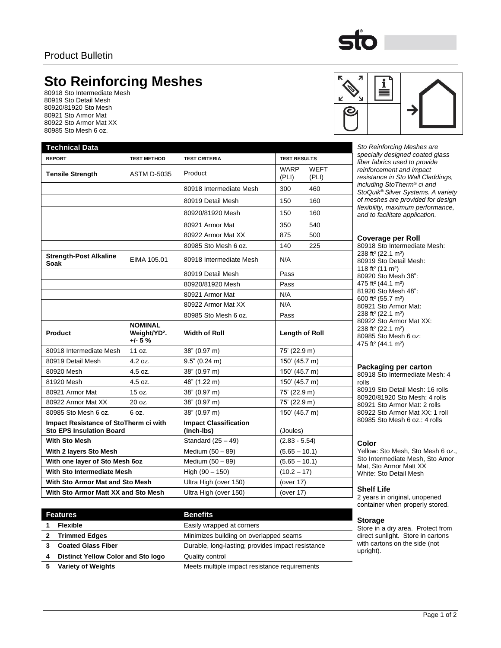# **Sto Reinforcing Meshes**

80918 Sto Intermediate Mesh 80919 Sto Detail Mesh 80920/81920 Sto Mesh 80921 Sto Armor Mat 80922 Sto Armor Mat XX 80985 Sto Mesh 6 oz.

| <b>Technical Data</b>                                                    |                                                        |                                            |                                              |  |
|--------------------------------------------------------------------------|--------------------------------------------------------|--------------------------------------------|----------------------------------------------|--|
| <b>REPORT</b>                                                            | <b>TEST METHOD</b>                                     | <b>TEST CRITERIA</b>                       | <b>TEST RESULTS</b>                          |  |
| <b>Tensile Strength</b>                                                  | <b>ASTM D-5035</b>                                     | Product                                    | <b>WEFT</b><br><b>WARP</b><br>(PLI)<br>(PLI) |  |
|                                                                          |                                                        | 80918 Intermediate Mesh                    | 300<br>460                                   |  |
|                                                                          |                                                        | 80919 Detail Mesh                          | 150<br>160                                   |  |
|                                                                          |                                                        | 80920/81920 Mesh                           | 150<br>160                                   |  |
|                                                                          |                                                        | 80921 Armor Mat                            | 350<br>540                                   |  |
|                                                                          |                                                        | 80922 Armor Mat XX                         | 875<br>500                                   |  |
|                                                                          |                                                        | 80985 Sto Mesh 6 oz.                       | 140<br>225                                   |  |
| <b>Strength-Post Alkaline</b><br>Soak                                    | EIMA 105.01                                            | 80918 Intermediate Mesh                    | N/A                                          |  |
|                                                                          |                                                        | 80919 Detail Mesh                          | Pass                                         |  |
|                                                                          |                                                        | 80920/81920 Mesh                           | Pass                                         |  |
|                                                                          |                                                        | 80921 Armor Mat                            | N/A                                          |  |
|                                                                          |                                                        | 80922 Armor Mat XX                         | N/A                                          |  |
|                                                                          |                                                        | 80985 Sto Mesh 6 oz.                       | Pass                                         |  |
|                                                                          |                                                        |                                            |                                              |  |
| <b>Product</b>                                                           | <b>NOMINAL</b><br>Weight/YD <sup>2</sup> .<br>$+/- 5%$ | <b>Width of Roll</b>                       | <b>Length of Roll</b>                        |  |
| 80918 Intermediate Mesh                                                  | 11 oz.                                                 | 38" (0.97 m)                               | 75' (22.9 m)                                 |  |
| 80919 Detail Mesh                                                        | $4.2$ oz.                                              | 9.5" (0.24 m)                              | 150' (45.7 m)                                |  |
| 80920 Mesh                                                               | 4.5 oz.                                                | 38" (0.97 m)                               | 150' (45.7 m)                                |  |
| 81920 Mesh                                                               | 4.5 oz.                                                | 48" (1.22 m)                               | 150' (45.7 m)                                |  |
| 80921 Armor Mat                                                          | 15.07                                                  | 38" (0.97 m)                               | 75' (22.9 m)                                 |  |
| 80922 Armor Mat XX                                                       | 20 oz.                                                 | 38" (0.97 m)                               | 75' (22.9 m)                                 |  |
| 80985 Sto Mesh 6 oz.                                                     | 6 oz.                                                  | 38" (0.97 m)                               | 150' (45.7 m)                                |  |
| Impact Resistance of StoTherm ci with<br><b>Sto EPS Insulation Board</b> |                                                        | <b>Impact Classification</b><br>(Inch-Ibs) | (Joules)                                     |  |
| <b>With Sto Mesh</b>                                                     |                                                        | Standard $(25 - 49)$                       | $(2.83 - 5.54)$                              |  |
| With 2 layers Sto Mesh                                                   |                                                        | Medium (50 - 89)                           | $(5.65 - 10.1)$                              |  |
| With one layer of Sto Mesh 6oz                                           |                                                        | Medium $(50 - 89)$                         | $(5.65 - 10.1)$                              |  |
| With Sto Intermediate Mesh                                               |                                                        | High $(90 - 150)$                          | $(10.2 - 17)$                                |  |
| With Sto Armor Mat and Sto Mesh                                          |                                                        | Ultra High (over 150)                      | (over 17)                                    |  |



**Sto Reinforcing Meshes are** *specially designed coated glass fiber fabrics used to provide reinforcement and impact resistance in Sto Wall Claddings, including StoTherm® ci and StoQuik® Silver Systems. A variety of meshes are provided for design flexibility, maximum performance, and to facilitate application.*

# **Coverage per Roll**

80918 Sto Intermediate Mesh: 238 ft² (22.1 m²) 80919 Sto Detail Mesh: 118 ft² (11 m²) 80920 Sto Mesh 38": 475 ft² (44.1 m²) 81920 Sto Mesh 48": 600 ft² (55.7 m²) 80921 Sto Armor Mat: 238 ft² (22.1 m²) 80922 Sto Armor Mat XX: 238 ft² (22.1 m²) 80985 Sto Mesh 6 oz: 475 ft² (44.1 m²)

# **Packaging per carton**

 Sto Intermediate Mesh: 4 rolls Sto Detail Mesh: 16 rolls 80920/81920 Sto Mesh: 4 rolls Sto Armor Mat: 2 rolls Sto Armor Mat XX: 1 roll Sto Mesh 6 oz.: 4 rolls

# **Color**

Yellow: Sto Mesh, Sto Mesh 6 oz., Sto Intermediate Mesh, Sto Amor Mat, Sto Armor Matt XX White: Sto Detail Mesh

#### **Shelf Life**

2 years in original, unopened container when properly stored.

| п | n<br>ı<br>га<br>и |
|---|-------------------|
|   |                   |

Store in a dry area. Protect from direct sunlight. Store in cartons with cartons on the side (not upright).

**Features Benefits Flexible 1 Easily wrapped at corners Trimmed Edges** Minimizes building on overlapped seams **Coated Glass Fiber Durable, long-lasting; provides impact resistance Distinct Yellow Color and Sto logo** Quality control **Variety of Weights** Meets multiple impact resistance requirements